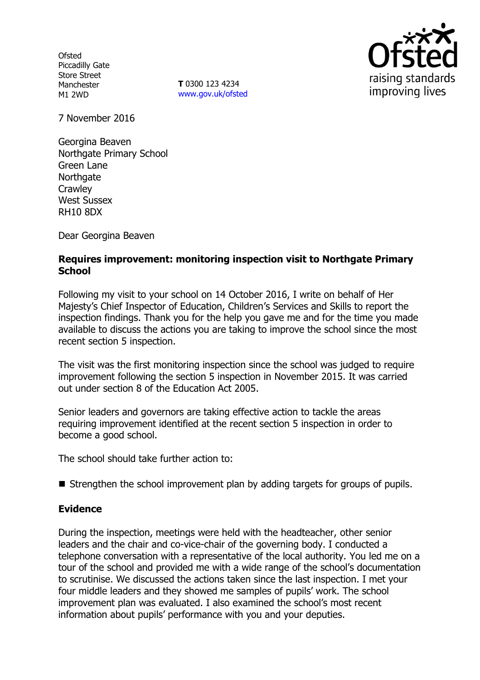**Ofsted** Piccadilly Gate Store Street Manchester M1 2WD

**T** 0300 123 4234 www.gov.uk/ofsted



7 November 2016

Georgina Beaven Northgate Primary School Green Lane **Northgate Crawley** West Sussex RH10 8DX

Dear Georgina Beaven

## **Requires improvement: monitoring inspection visit to Northgate Primary School**

Following my visit to your school on 14 October 2016, I write on behalf of Her Majesty's Chief Inspector of Education, Children's Services and Skills to report the inspection findings. Thank you for the help you gave me and for the time you made available to discuss the actions you are taking to improve the school since the most recent section 5 inspection.

The visit was the first monitoring inspection since the school was judged to require improvement following the section 5 inspection in November 2015. It was carried out under section 8 of the Education Act 2005.

Senior leaders and governors are taking effective action to tackle the areas requiring improvement identified at the recent section 5 inspection in order to become a good school.

The school should take further action to:

 $\blacksquare$  Strengthen the school improvement plan by adding targets for groups of pupils.

## **Evidence**

During the inspection, meetings were held with the headteacher, other senior leaders and the chair and co-vice-chair of the governing body. I conducted a telephone conversation with a representative of the local authority. You led me on a tour of the school and provided me with a wide range of the school's documentation to scrutinise. We discussed the actions taken since the last inspection. I met your four middle leaders and they showed me samples of pupils' work. The school improvement plan was evaluated. I also examined the school's most recent information about pupils' performance with you and your deputies.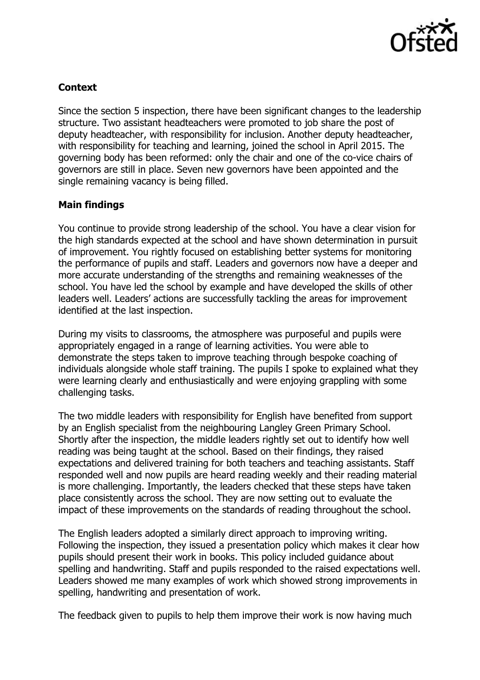

# **Context**

Since the section 5 inspection, there have been significant changes to the leadership structure. Two assistant headteachers were promoted to job share the post of deputy headteacher, with responsibility for inclusion. Another deputy headteacher, with responsibility for teaching and learning, joined the school in April 2015. The governing body has been reformed: only the chair and one of the co-vice chairs of governors are still in place. Seven new governors have been appointed and the single remaining vacancy is being filled.

# **Main findings**

You continue to provide strong leadership of the school. You have a clear vision for the high standards expected at the school and have shown determination in pursuit of improvement. You rightly focused on establishing better systems for monitoring the performance of pupils and staff. Leaders and governors now have a deeper and more accurate understanding of the strengths and remaining weaknesses of the school. You have led the school by example and have developed the skills of other leaders well. Leaders' actions are successfully tackling the areas for improvement identified at the last inspection.

During my visits to classrooms, the atmosphere was purposeful and pupils were appropriately engaged in a range of learning activities. You were able to demonstrate the steps taken to improve teaching through bespoke coaching of individuals alongside whole staff training. The pupils I spoke to explained what they were learning clearly and enthusiastically and were enjoying grappling with some challenging tasks.

The two middle leaders with responsibility for English have benefited from support by an English specialist from the neighbouring Langley Green Primary School. Shortly after the inspection, the middle leaders rightly set out to identify how well reading was being taught at the school. Based on their findings, they raised expectations and delivered training for both teachers and teaching assistants. Staff responded well and now pupils are heard reading weekly and their reading material is more challenging. Importantly, the leaders checked that these steps have taken place consistently across the school. They are now setting out to evaluate the impact of these improvements on the standards of reading throughout the school.

The English leaders adopted a similarly direct approach to improving writing. Following the inspection, they issued a presentation policy which makes it clear how pupils should present their work in books. This policy included guidance about spelling and handwriting. Staff and pupils responded to the raised expectations well. Leaders showed me many examples of work which showed strong improvements in spelling, handwriting and presentation of work.

The feedback given to pupils to help them improve their work is now having much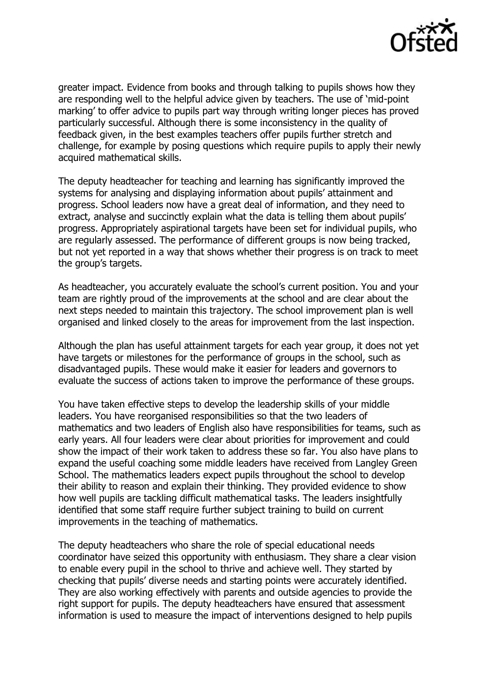

greater impact. Evidence from books and through talking to pupils shows how they are responding well to the helpful advice given by teachers. The use of 'mid-point marking' to offer advice to pupils part way through writing longer pieces has proved particularly successful. Although there is some inconsistency in the quality of feedback given, in the best examples teachers offer pupils further stretch and challenge, for example by posing questions which require pupils to apply their newly acquired mathematical skills.

The deputy headteacher for teaching and learning has significantly improved the systems for analysing and displaying information about pupils' attainment and progress. School leaders now have a great deal of information, and they need to extract, analyse and succinctly explain what the data is telling them about pupils' progress. Appropriately aspirational targets have been set for individual pupils, who are regularly assessed. The performance of different groups is now being tracked, but not yet reported in a way that shows whether their progress is on track to meet the group's targets.

As headteacher, you accurately evaluate the school's current position. You and your team are rightly proud of the improvements at the school and are clear about the next steps needed to maintain this trajectory. The school improvement plan is well organised and linked closely to the areas for improvement from the last inspection.

Although the plan has useful attainment targets for each year group, it does not yet have targets or milestones for the performance of groups in the school, such as disadvantaged pupils. These would make it easier for leaders and governors to evaluate the success of actions taken to improve the performance of these groups.

You have taken effective steps to develop the leadership skills of your middle leaders. You have reorganised responsibilities so that the two leaders of mathematics and two leaders of English also have responsibilities for teams, such as early years. All four leaders were clear about priorities for improvement and could show the impact of their work taken to address these so far. You also have plans to expand the useful coaching some middle leaders have received from Langley Green School. The mathematics leaders expect pupils throughout the school to develop their ability to reason and explain their thinking. They provided evidence to show how well pupils are tackling difficult mathematical tasks. The leaders insightfully identified that some staff require further subject training to build on current improvements in the teaching of mathematics.

The deputy headteachers who share the role of special educational needs coordinator have seized this opportunity with enthusiasm. They share a clear vision to enable every pupil in the school to thrive and achieve well. They started by checking that pupils' diverse needs and starting points were accurately identified. They are also working effectively with parents and outside agencies to provide the right support for pupils. The deputy headteachers have ensured that assessment information is used to measure the impact of interventions designed to help pupils